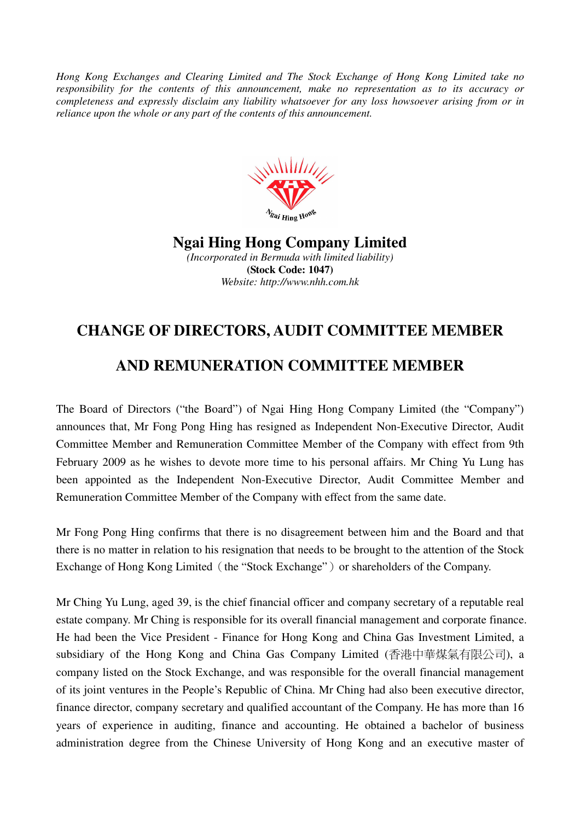*Hong Kong Exchanges and Clearing Limited and The Stock Exchange of Hong Kong Limited take no responsibility for the contents of this announcement, make no representation as to its accuracy or completeness and expressly disclaim any liability whatsoever for any loss howsoever arising from or in reliance upon the whole or any part of the contents of this announcement.* 



**Ngai Hing Hong Company Limited**  *(Incorporated in Bermuda with limited liability)*  **(Stock Code: 1047)** 

*Website: http://www.nhh.com.hk* 

## **CHANGE OF DIRECTORS, AUDIT COMMITTEE MEMBER**

## **AND REMUNERATION COMMITTEE MEMBER**

The Board of Directors ("the Board") of Ngai Hing Hong Company Limited (the "Company") announces that, Mr Fong Pong Hing has resigned as Independent Non-Executive Director, Audit Committee Member and Remuneration Committee Member of the Company with effect from 9th February 2009 as he wishes to devote more time to his personal affairs. Mr Ching Yu Lung has been appointed as the Independent Non-Executive Director, Audit Committee Member and Remuneration Committee Member of the Company with effect from the same date.

Mr Fong Pong Hing confirms that there is no disagreement between him and the Board and that there is no matter in relation to his resignation that needs to be brought to the attention of the Stock Exchange of Hong Kong Limited (the "Stock Exchange") or shareholders of the Company.

Mr Ching Yu Lung, aged 39, is the chief financial officer and company secretary of a reputable real estate company. Mr Ching is responsible for its overall financial management and corporate finance. He had been the Vice President - Finance for Hong Kong and China Gas Investment Limited, a subsidiary of the Hong Kong and China Gas Company Limited (香港中華煤氣有限公司), a company listed on the Stock Exchange, and was responsible for the overall financial management of its joint ventures in the People's Republic of China. Mr Ching had also been executive director, finance director, company secretary and qualified accountant of the Company. He has more than 16 years of experience in auditing, finance and accounting. He obtained a bachelor of business administration degree from the Chinese University of Hong Kong and an executive master of